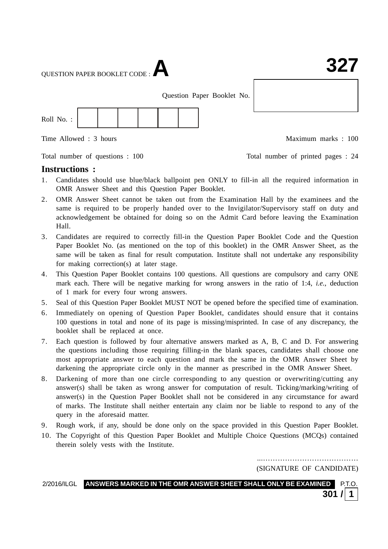QUESTION PAPER BOOKLET CODE :**A**

Question Paper Booklet No.



Time Allowed : 3 hours and the set of the Maximum marks : 100

Total number of questions : 100 Total number of printed pages : 24

: 1 : **327** 

## **Instructions :**

- 1. Candidates should use blue/black ballpoint pen ONLY to fill-in all the required information in OMR Answer Sheet and this Question Paper Booklet.
- 2. OMR Answer Sheet cannot be taken out from the Examination Hall by the examinees and the same is required to be properly handed over to the Invigilator/Supervisory staff on duty and acknowledgement be obtained for doing so on the Admit Card before leaving the Examination Hall.
- 3. Candidates are required to correctly fill-in the Question Paper Booklet Code and the Question Paper Booklet No. (as mentioned on the top of this booklet) in the OMR Answer Sheet, as the same will be taken as final for result computation. Institute shall not undertake any responsibility for making correction(s) at later stage.
- 4. This Question Paper Booklet contains 100 questions. All questions are compulsory and carry ONE mark each. There will be negative marking for wrong answers in the ratio of 1:4, *i.e.*, deduction of 1 mark for every four wrong answers.
- 5. Seal of this Question Paper Booklet MUST NOT be opened before the specified time of examination.
- 6. Immediately on opening of Question Paper Booklet, candidates should ensure that it contains 100 questions in total and none of its page is missing/misprinted. In case of any discrepancy, the booklet shall be replaced at once.
- 7. Each question is followed by four alternative answers marked as A, B, C and D. For answering the questions including those requiring filling-in the blank spaces, candidates shall choose one most appropriate answer to each question and mark the same in the OMR Answer Sheet by darkening the appropriate circle only in the manner as prescribed in the OMR Answer Sheet.
- 8. Darkening of more than one circle corresponding to any question or overwriting/cutting any answer(s) shall be taken as wrong answer for computation of result. Ticking/marking/writing of answer(s) in the Question Paper Booklet shall not be considered in any circumstance for award of marks. The Institute shall neither entertain any claim nor be liable to respond to any of the query in the aforesaid matter.
- 9. Rough work, if any, should be done only on the space provided in this Question Paper Booklet.
- 10. The Copyright of this Question Paper Booklet and Multiple Choice Questions (MCQs) contained therein solely vests with the Institute.

...………………………………… (SIGNATURE OF CANDIDATE)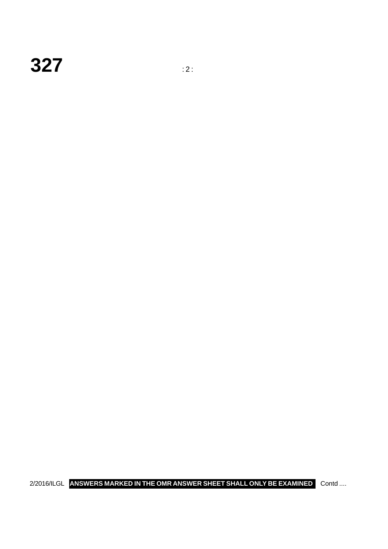## **327** is a set of  $\frac{1}{2}$  is a set of  $\frac{1}{2}$  is a set of  $\frac{1}{2}$  is a set of  $\frac{1}{2}$  is a set of  $\frac{1}{2}$  is a set of  $\frac{1}{2}$  is a set of  $\frac{1}{2}$  is a set of  $\frac{1}{2}$  is a set of  $\frac{1}{2}$  is a set of  $\frac{1}{$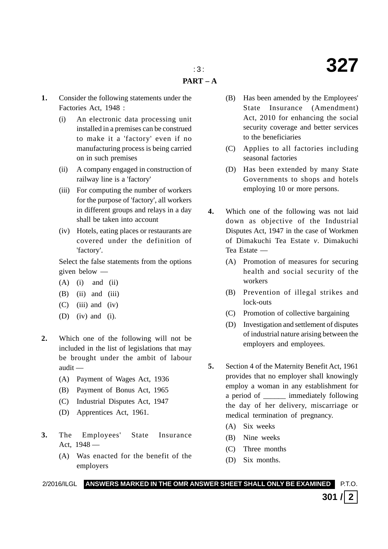- **1.** Consider the following statements under the Factories Act, 1948 :
	- (i) An electronic data processing unit installed in a premises can be construed to make it a 'factory' even if no manufacturing process is being carried on in such premises
	- (ii) A company engaged in construction of railway line is a 'factory'
	- (iii) For computing the number of workers for the purpose of 'factory', all workers in different groups and relays in a day shall be taken into account
	- (iv) Hotels, eating places or restaurants are covered under the definition of 'factory'.

Select the false statements from the options given below —

- $(A)$  (i) and (ii)
- $(B)$  (ii) and (iii)
- $(C)$  (iii) and (iv)
- (D) (iv) and (i).
- **2.** Which one of the following will not be included in the list of legislations that may be brought under the ambit of labour audit —
	- (A) Payment of Wages Act, 1936
	- (B) Payment of Bonus Act, 1965
	- (C) Industrial Disputes Act, 1947
	- (D) Apprentices Act, 1961.
- **3.** The Employees' State Insurance Act, 1948 —
	- (A) Was enacted for the benefit of the employers
- (B) Has been amended by the Employees' State Insurance (Amendment) Act, 2010 for enhancing the social security coverage and better services to the beneficiaries
- (C) Applies to all factories including seasonal factories
- (D) Has been extended by many State Governments to shops and hotels employing 10 or more persons.
- **4.** Which one of the following was not laid down as objective of the Industrial Disputes Act, 1947 in the case of Workmen of Dimakuchi Tea Estate *v*. Dimakuchi Tea Estate —
	- (A) Promotion of measures for securing health and social security of the workers
	- (B) Prevention of illegal strikes and lock-outs
	- (C) Promotion of collective bargaining
	- (D) Investigation and settlement of disputes of industrial nature arising between the employers and employees.
- **5.** Section 4 of the Maternity Benefit Act, 1961 provides that no employer shall knowingly employ a woman in any establishment for a period of immediately following the day of her delivery, miscarriage or medical termination of pregnancy.
	- (A) Six weeks
	- (B) Nine weeks
	- (C) Three months
	- (D) Six months.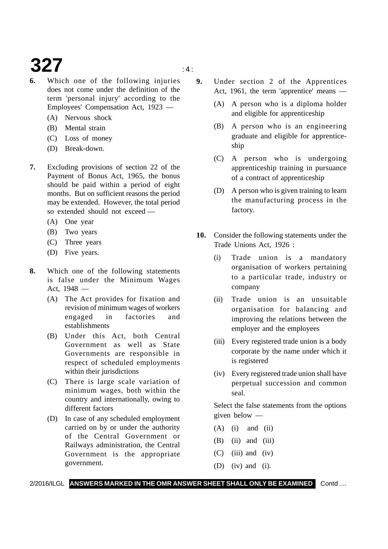## **327 127 127**

- **6.** Which one of the following injuries does not come under the definition of the term 'personal injury' according to the Employees' Compensation Act, 1923 —
	- (A) Nervous shock
	- (B) Mental strain
	- (C) Loss of money
	- (D) Break-down.
- **7.** Excluding provisions of section 22 of the Payment of Bonus Act, 1965, the bonus should be paid within a period of eight months. But on sufficient reasons the period may be extended. However, the total period so extended should not exceed —
	- (A) One year
	- (B) Two years
	- (C) Three years
	- (D) Five years.
- **8.** Which one of the following statements is false under the Minimum Wages Act, 1948 —
	- (A) The Act provides for fixation and revision of minimum wages of workers engaged in factories and establishments
	- (B) Under this Act, both Central Government as well as State Governments are responsible in respect of scheduled employments within their jurisdictions
	- (C) There is large scale variation of minimum wages, both within the country and internationally, owing to different factors
	- (D) In case of any scheduled employment carried on by or under the authority of the Central Government or Railways administration, the Central Government is the appropriate government.
- **9.** Under section 2 of the Apprentices Act, 1961, the term 'apprentice' means —
	- (A) A person who is a diploma holder and eligible for apprenticeship
	- (B) A person who is an engineering graduate and eligible for apprenticeship
	- (C) A person who is undergoing apprenticeship training in pursuance of a contract of apprenticeship
	- (D) A person who is given training to learn the manufacturing process in the factory.
- **10.** Consider the following statements under the Trade Unions Act, 1926 :
	- (i) Trade union is a mandatory organisation of workers pertaining to a particular trade, industry or company
	- (ii) Trade union is an unsuitable organisation for balancing and improving the relations between the employer and the employees
	- (iii) Every registered trade union is a body corporate by the name under which it is registered
	- (iv) Every registered trade union shall have perpetual succession and common seal.

Select the false statements from the options given below —

- $(A)$  (i) and (ii)
- $(B)$  (ii) and (iii)
- $(C)$  (iii) and (iv)
- (D) (iv) and (i).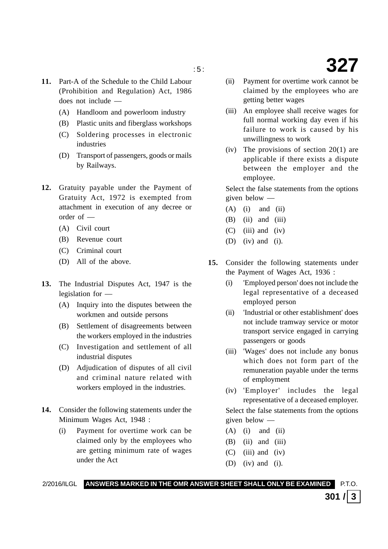: 5 : **327**

- **11.** Part-A of the Schedule to the Child Labour (Prohibition and Regulation) Act, 1986 does not include —
	- (A) Handloom and powerloom industry
	- (B) Plastic units and fiberglass workshops
	- (C) Soldering processes in electronic industries
	- (D) Transport of passengers, goods or mails by Railways.
- **12.** Gratuity payable under the Payment of Gratuity Act, 1972 is exempted from attachment in execution of any decree or order of —
	- (A) Civil court
	- (B) Revenue court
	- (C) Criminal court
	- (D) All of the above.
- **13.** The Industrial Disputes Act, 1947 is the legislation for —
	- (A) Inquiry into the disputes between the workmen and outside persons
	- (B) Settlement of disagreements between the workers employed in the industries
	- (C) Investigation and settlement of all industrial disputes
	- (D) Adjudication of disputes of all civil and criminal nature related with workers employed in the industries.
- **14.** Consider the following statements under the Minimum Wages Act, 1948 :
	- (i) Payment for overtime work can be claimed only by the employees who are getting minimum rate of wages under the Act
- (ii) Payment for overtime work cannot be claimed by the employees who are getting better wages
- (iii) An employee shall receive wages for full normal working day even if his failure to work is caused by his unwillingness to work
- (iv) The provisions of section 20(1) are applicable if there exists a dispute between the employer and the employee.

Select the false statements from the options given below —

- $(A)$  (i) and (ii)
- $(B)$  (ii) and (iii)
- (C) (iii) and (iv)
- (D) (iv) and (i).
- **15.** Consider the following statements under the Payment of Wages Act, 1936 :
	- (i) 'Employed person' does not include the legal representative of a deceased employed person
	- (ii) 'Industrial or other establishment' does not include tramway service or motor transport service engaged in carrying passengers or goods
	- (iii) 'Wages' does not include any bonus which does not form part of the remuneration payable under the terms of employment
	- (iv) 'Employer' includes the legal representative of a deceased employer.

Select the false statements from the options given below —

**301 / 3**

- $(A)$  (i) and (ii)
- $(B)$  (ii) and (iii)
- $(C)$  (iii) and (iv)
- (D) (iv) and (i).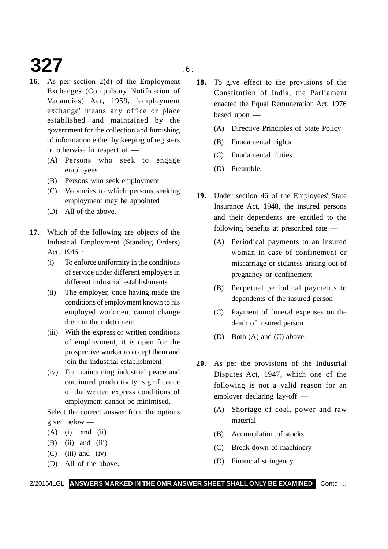# **327** is a set of  $\mathbf{S}$

- **16.** As per section 2(d) of the Employment Exchanges (Compulsory Notification of Vacancies) Act, 1959, 'employment exchange' means any office or place established and maintained by the government for the collection and furnishing of information either by keeping of registers or otherwise in respect of —
	- (A) Persons who seek to engage employees
	- (B) Persons who seek employment
	- (C) Vacancies to which persons seeking employment may be appointed
	- (D) All of the above.
- **17.** Which of the following are objects of the Industrial Employment (Standing Orders) Act, 1946 :
	- (i) To enforce uniformity in the conditions of service under different employers in different industrial establishments
	- (ii) The employer, once having made the conditions of employment known to his employed workmen, cannot change them to their detriment
	- (iii) With the express or written conditions of employment, it is open for the prospective worker to accept them and join the industrial establishment
	- (iv) For maintaining industrial peace and continued productivity, significance of the written express conditions of employment cannot be minimised.

Select the correct answer from the options given below —

- $(A)$  (i) and (ii)
- $(B)$  (ii) and (iii)
- $(C)$  (iii) and (iv)
- (D) All of the above.
- **18.** To give effect to the provisions of the Constitution of India, the Parliament enacted the Equal Remuneration Act, 1976 based upon —
	- (A) Directive Principles of State Policy
	- (B) Fundamental rights
	- (C) Fundamental duties
	- (D) Preamble.
- **19.** Under section 46 of the Employees' State Insurance Act, 1948, the insured persons and their dependents are entitled to the following benefits at prescribed rate —
	- (A) Periodical payments to an insured woman in case of confinement or miscarriage or sickness arising out of pregnancy or confinement
	- (B) Perpetual periodical payments to dependents of the insured person
	- (C) Payment of funeral expenses on the death of insured person
	- (D) Both (A) and (C) above.
- **20.** As per the provisions of the Industrial Disputes Act, 1947, which one of the following is not a valid reason for an employer declaring lay-off —
	- (A) Shortage of coal, power and raw material
	- (B) Accumulation of stocks
	- (C) Break-down of machinery
	- (D) Financial stringency.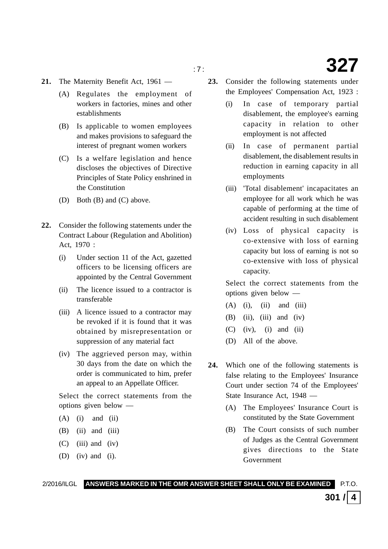- **21.** The Maternity Benefit Act, 1961
	- (A) Regulates the employment of workers in factories, mines and other establishments
	- (B) Is applicable to women employees and makes provisions to safeguard the interest of pregnant women workers
	- (C) Is a welfare legislation and hence discloses the objectives of Directive Principles of State Policy enshrined in the Constitution
	- (D) Both (B) and (C) above.
- **22.** Consider the following statements under the Contract Labour (Regulation and Abolition) Act, 1970 :
	- (i) Under section 11 of the Act, gazetted officers to be licensing officers are appointed by the Central Government
	- (ii) The licence issued to a contractor is transferable
	- (iii) A licence issued to a contractor may be revoked if it is found that it was obtained by misrepresentation or suppression of any material fact
	- (iv) The aggrieved person may, within 30 days from the date on which the order is communicated to him, prefer an appeal to an Appellate Officer.

Select the correct statements from the options given below —

- $(A)$  (i) and (ii)
- $(B)$  (ii) and (iii)
- $(C)$  (iii) and (iv)
- (D) (iv) and (i).
- **23.** Consider the following statements under the Employees' Compensation Act, 1923 :
	- (i) In case of temporary partial disablement, the employee's earning capacity in relation to other employment is not affected
	- (ii) In case of permanent partial disablement, the disablement results in reduction in earning capacity in all employments
	- (iii) 'Total disablement' incapacitates an employee for all work which he was capable of performing at the time of accident resulting in such disablement
	- (iv) Loss of physical capacity is co-extensive with loss of earning capacity but loss of earning is not so co-extensive with loss of physical capacity.

Select the correct statements from the options given below —

- $(A)$  (i), (ii) and (iii)
- $(B)$  (ii), (iii) and (iv)
- $(C)$  (iv), (i) and (ii)
- (D) All of the above.
- **24.** Which one of the following statements is false relating to the Employees' Insurance Court under section 74 of the Employees' State Insurance Act, 1948 —
	- (A) The Employees' Insurance Court is constituted by the State Government
	- (B) The Court consists of such number of Judges as the Central Government gives directions to the State Government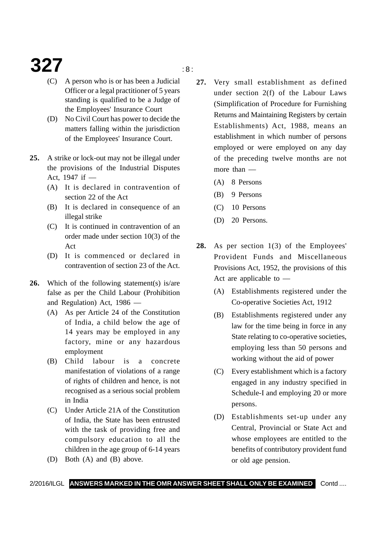# **327** is a set of  $\frac{1}{2}$

- (C) A person who is or has been a Judicial Officer or a legal practitioner of 5 years standing is qualified to be a Judge of the Employees' Insurance Court
- (D) No Civil Court has power to decide the matters falling within the jurisdiction of the Employees' Insurance Court.
- **25.** A strike or lock-out may not be illegal under the provisions of the Industrial Disputes Act, 1947 if —
	- (A) It is declared in contravention of section 22 of the Act
	- (B) It is declared in consequence of an illegal strike
	- (C) It is continued in contravention of an order made under section 10(3) of the Act
	- (D) It is commenced or declared in contravention of section 23 of the Act.
- **26.** Which of the following statement(s) is/are false as per the Child Labour (Prohibition and Regulation) Act, 1986 —
	- (A) As per Article 24 of the Constitution of India, a child below the age of 14 years may be employed in any factory, mine or any hazardous employment
	- (B) Child labour is a concrete manifestation of violations of a range of rights of children and hence, is not recognised as a serious social problem in India
	- (C) Under Article 21A of the Constitution of India, the State has been entrusted with the task of providing free and compulsory education to all the children in the age group of 6-14 years
	- (D) Both (A) and (B) above.
- **27.** Very small establishment as defined under section 2(f) of the Labour Laws (Simplification of Procedure for Furnishing Returns and Maintaining Registers by certain Establishments) Act, 1988, means an establishment in which number of persons employed or were employed on any day of the preceding twelve months are not more than —
	- (A) 8 Persons
	- (B) 9 Persons
	- (C) 10 Persons
	- (D) 20 Persons.
- **28.** As per section 1(3) of the Employees' Provident Funds and Miscellaneous Provisions Act, 1952, the provisions of this Act are applicable to —
	- (A) Establishments registered under the Co-operative Societies Act, 1912
	- (B) Establishments registered under any law for the time being in force in any State relating to co-operative societies, employing less than 50 persons and working without the aid of power
	- (C) Every establishment which is a factory engaged in any industry specified in Schedule-I and employing 20 or more persons.
	- (D) Establishments set-up under any Central, Provincial or State Act and whose employees are entitled to the benefits of contributory provident fund or old age pension.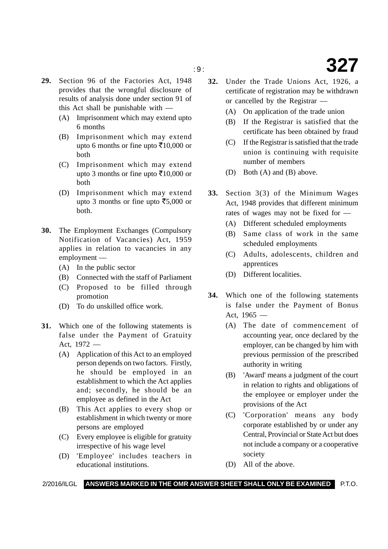- **29.** Section 96 of the Factories Act, 1948 provides that the wrongful disclosure of results of analysis done under section 91 of this Act shall be punishable with —
	- (A) Imprisonment which may extend upto 6 months
	- (B) Imprisonment which may extend upto 6 months or fine upto  $\bar{\mathfrak{c}}$ 10,000 or both
	- (C) Imprisonment which may extend upto 3 months or fine upto  $\bar{\mathfrak{Z}}10,000$  or both
	- (D) Imprisonment which may extend upto 3 months or fine upto  $\text{\textsterling}5,000$  or both.
- **30.** The Employment Exchanges (Compulsory Notification of Vacancies) Act, 1959 applies in relation to vacancies in any employment —
	- (A) In the public sector
	- (B) Connected with the staff of Parliament
	- (C) Proposed to be filled through promotion
	- (D) To do unskilled office work.
- **31.** Which one of the following statements is false under the Payment of Gratuity Act, 1972 —
	- (A) Application of this Act to an employed person depends on two factors. Firstly, he should be employed in an establishment to which the Act applies and; secondly, he should be an employee as defined in the Act
	- (B) This Act applies to every shop or establishment in which twenty or more persons are employed
	- (C) Every employee is eligible for gratuity irrespective of his wage level
	- (D) 'Employee' includes teachers in educational institutions.
- **32.** Under the Trade Unions Act, 1926, a certificate of registration may be withdrawn or cancelled by the Registrar —
	- (A) On application of the trade union
	- (B) If the Registrar is satisfied that the certificate has been obtained by fraud
	- (C) If the Registrar is satisfied that the trade union is continuing with requisite number of members
	- (D) Both (A) and (B) above.
- **33.** Section 3(3) of the Minimum Wages Act, 1948 provides that different minimum rates of wages may not be fixed for —
	- (A) Different scheduled employments
	- (B) Same class of work in the same scheduled employments
	- (C) Adults, adolescents, children and apprentices
	- (D) Different localities.
- **34.** Which one of the following statements is false under the Payment of Bonus Act, 1965 —
	- (A) The date of commencement of accounting year, once declared by the employer, can be changed by him with previous permission of the prescribed authority in writing
	- (B) 'Award' means a judgment of the court in relation to rights and obligations of the employee or employer under the provisions of the Act
	- (C) 'Corporation' means any body corporate established by or under any Central, Provincial or State Act but does not include a company or a cooperative society
	- (D) All of the above.

### 2/2016/ILGL **ANSWERS MARKED IN THE OMR ANSWER SHEET SHALL ONLY BE EXAMINED** P.T.O.

**327**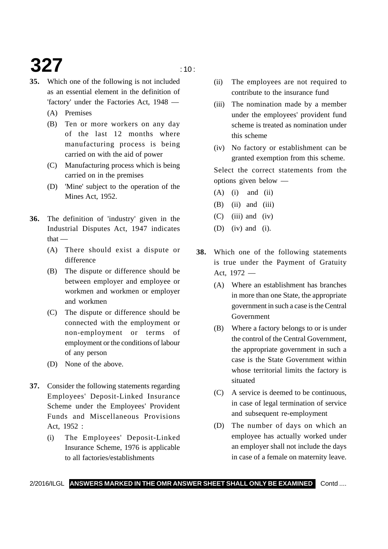# **327** is the set of  $\frac{10}{10}$

**35.** Which one of the following is not included as an essential element in the definition of 'factory' under the Factories Act, 1948 —

- (A) Premises
- (B) Ten or more workers on any day of the last 12 months where manufacturing process is being carried on with the aid of power
- (C) Manufacturing process which is being carried on in the premises
- (D) 'Mine' subject to the operation of the Mines Act, 1952.
- **36.** The definition of 'industry' given in the Industrial Disputes Act, 1947 indicates that $-$ 
	- (A) There should exist a dispute or difference
	- (B) The dispute or difference should be between employer and employee or workmen and workmen or employer and workmen
	- (C) The dispute or difference should be connected with the employment or non-employment or terms of employment or the conditions of labour of any person
	- (D) None of the above.
- **37.** Consider the following statements regarding Employees' Deposit-Linked Insurance Scheme under the Employees' Provident Funds and Miscellaneous Provisions Act, 1952 :
	- (i) The Employees' Deposit-Linked Insurance Scheme, 1976 is applicable to all factories/establishments
- (ii) The employees are not required to contribute to the insurance fund
- (iii) The nomination made by a member under the employees' provident fund scheme is treated as nomination under this scheme
- (iv) No factory or establishment can be granted exemption from this scheme.

Select the correct statements from the options given below —

- $(A)$  (i) and (ii)
- $(B)$  (ii) and (iii)
- $(C)$  (iii) and (iv)
- (D) (iv) and (i).
- **38.** Which one of the following statements is true under the Payment of Gratuity Act, 1972 —
	- (A) Where an establishment has branches in more than one State, the appropriate government in such a case is the Central Government
	- (B) Where a factory belongs to or is under the control of the Central Government, the appropriate government in such a case is the State Government within whose territorial limits the factory is situated
	- (C) A service is deemed to be continuous, in case of legal termination of service and subsequent re-employment
	- (D) The number of days on which an employee has actually worked under an employer shall not include the days in case of a female on maternity leave.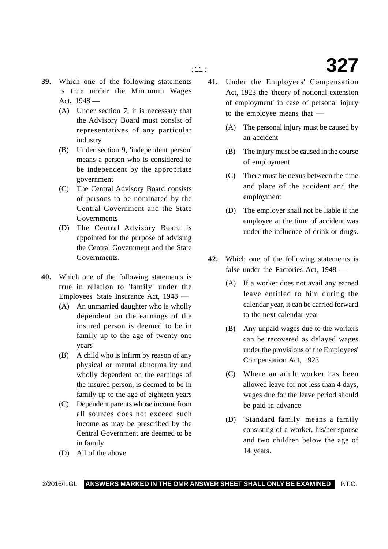- **39.** Which one of the following statements is true under the Minimum Wages Act, 1948 —
	- (A) Under section 7, it is necessary that the Advisory Board must consist of representatives of any particular industry
	- (B) Under section 9, 'independent person' means a person who is considered to be independent by the appropriate government
	- (C) The Central Advisory Board consists of persons to be nominated by the Central Government and the State Governments
	- (D) The Central Advisory Board is appointed for the purpose of advising the Central Government and the State Governments.
- **40.** Which one of the following statements is true in relation to 'family' under the Employees' State Insurance Act, 1948 —
	- (A) An unmarried daughter who is wholly dependent on the earnings of the insured person is deemed to be in family up to the age of twenty one years
	- (B) A child who is infirm by reason of any physical or mental abnormality and wholly dependent on the earnings of the insured person, is deemed to be in family up to the age of eighteen years
	- (C) Dependent parents whose income from all sources does not exceed such income as may be prescribed by the Central Government are deemed to be in family
	- (D) All of the above.
- **41.** Under the Employees' Compensation Act, 1923 the 'theory of notional extension of employment' in case of personal injury to the employee means that —
	- (A) The personal injury must be caused by an accident
	- (B) The injury must be caused in the course of employment
	- (C) There must be nexus between the time and place of the accident and the employment
	- (D) The employer shall not be liable if the employee at the time of accident was under the influence of drink or drugs.
- **42.** Which one of the following statements is false under the Factories Act, 1948 —
	- (A) If a worker does not avail any earned leave entitled to him during the calendar year, it can be carried forward to the next calendar year
	- (B) Any unpaid wages due to the workers can be recovered as delayed wages under the provisions of the Employees' Compensation Act, 1923
	- (C) Where an adult worker has been allowed leave for not less than 4 days, wages due for the leave period should be paid in advance
	- (D) 'Standard family' means a family consisting of a worker, his/her spouse and two children below the age of 14 years.

## 2/2016/ILGL **ANSWERS MARKED IN THE OMR ANSWER SHEET SHALL ONLY BE EXAMINED** P.T.O.

: 11 : **327**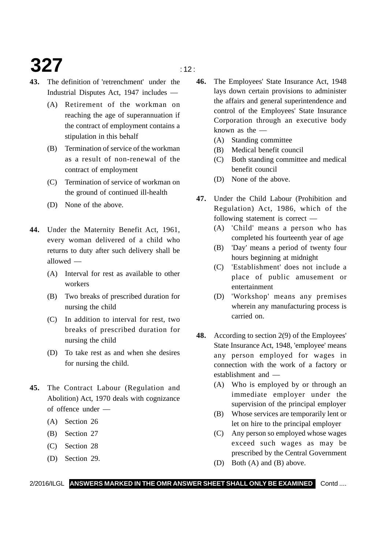# **327**  $\frac{1}{2}$

- **43.** The definition of 'retrenchment' under the Industrial Disputes Act, 1947 includes —
	- (A) Retirement of the workman on reaching the age of superannuation if the contract of employment contains a stipulation in this behalf
	- (B) Termination of service of the workman as a result of non-renewal of the contract of employment
	- (C) Termination of service of workman on the ground of continued ill-health
	- (D) None of the above.
- **44.** Under the Maternity Benefit Act, 1961, every woman delivered of a child who returns to duty after such delivery shall be allowed —
	- (A) Interval for rest as available to other workers
	- (B) Two breaks of prescribed duration for nursing the child
	- (C) In addition to interval for rest, two breaks of prescribed duration for nursing the child
	- (D) To take rest as and when she desires for nursing the child.
- **45.** The Contract Labour (Regulation and Abolition) Act, 1970 deals with cognizance of offence under —
	- (A) Section 26
	- (B) Section 27
	- (C) Section 28
	- (D) Section 29.
- **46.** The Employees' State Insurance Act, 1948 lays down certain provisions to administer the affairs and general superintendence and control of the Employees' State Insurance Corporation through an executive body known as the —
	- (A) Standing committee
	- (B) Medical benefit council
	- (C) Both standing committee and medical benefit council
	- (D) None of the above.
- **47.** Under the Child Labour (Prohibition and Regulation) Act, 1986, which of the following statement is correct —
	- (A) 'Child' means a person who has completed his fourteenth year of age
	- (B) 'Day' means a period of twenty four hours beginning at midnight
	- (C) 'Establishment' does not include a place of public amusement or entertainment
	- (D) 'Workshop' means any premises wherein any manufacturing process is carried on.
- **48.** According to section 2(9) of the Employees' State Insurance Act, 1948, 'employee' means any person employed for wages in connection with the work of a factory or establishment and —
	- (A) Who is employed by or through an immediate employer under the supervision of the principal employer
	- (B) Whose services are temporarily lent or let on hire to the principal employer
	- (C) Any person so employed whose wages exceed such wages as may be prescribed by the Central Government
	- (D) Both (A) and (B) above.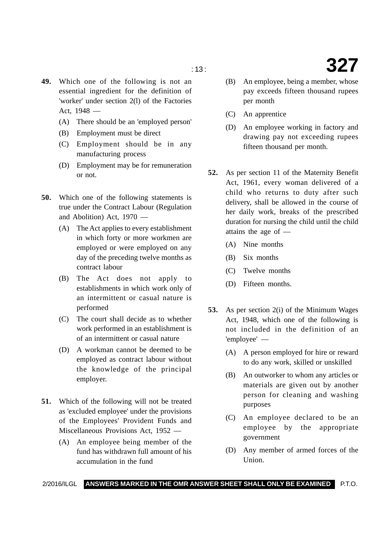- **49.** Which one of the following is not an essential ingredient for the definition of 'worker' under section 2(l) of the Factories Act, 1948 —
	- (A) There should be an 'employed person'
	- (B) Employment must be direct
	- (C) Employment should be in any manufacturing process
	- (D) Employment may be for remuneration or not.
- **50.** Which one of the following statements is true under the Contract Labour (Regulation and Abolition) Act, 1970 —
	- (A) The Act applies to every establishment in which forty or more workmen are employed or were employed on any day of the preceding twelve months as contract labour
	- (B) The Act does not apply to establishments in which work only of an intermittent or casual nature is performed
	- (C) The court shall decide as to whether work performed in an establishment is of an intermittent or casual nature
	- (D) A workman cannot be deemed to be employed as contract labour without the knowledge of the principal employer.
- **51.** Which of the following will not be treated as 'excluded employee' under the provisions of the Employees' Provident Funds and Miscellaneous Provisions Act, 1952 —
	- (A) An employee being member of the fund has withdrawn full amount of his accumulation in the fund
- (B) An employee, being a member, whose pay exceeds fifteen thousand rupees per month
- (C) An apprentice
- (D) An employee working in factory and drawing pay not exceeding rupees fifteen thousand per month.
- **52.** As per section 11 of the Maternity Benefit Act, 1961, every woman delivered of a child who returns to duty after such delivery, shall be allowed in the course of her daily work, breaks of the prescribed duration for nursing the child until the child attains the age of —
	- (A) Nine months
	- (B) Six months
	- (C) Twelve months
	- (D) Fifteen months.
- **53.** As per section 2(i) of the Minimum Wages Act, 1948, which one of the following is not included in the definition of an 'employee' —
	- (A) A person employed for hire or reward to do any work, skilled or unskilled
	- (B) An outworker to whom any articles or materials are given out by another person for cleaning and washing purposes
	- (C) An employee declared to be an employee by the appropriate government
	- (D) Any member of armed forces of the Union.

## 2/2016/ILGL **ANSWERS MARKED IN THE OMR ANSWER SHEET SHALL ONLY BE EXAMINED** P.T.O.

: 13 : **327**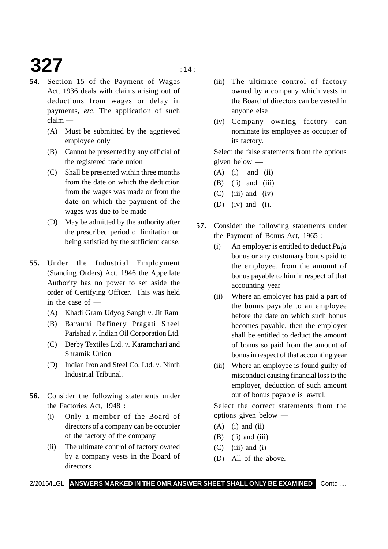# **327**  $\frac{1}{14}$

- **54.** Section 15 of the Payment of Wages Act, 1936 deals with claims arising out of deductions from wages or delay in payments, *etc*. The application of such claim —
	- (A) Must be submitted by the aggrieved employee only
	- (B) Cannot be presented by any official of the registered trade union
	- (C) Shall be presented within three months from the date on which the deduction from the wages was made or from the date on which the payment of the wages was due to be made
	- (D) May be admitted by the authority after the prescribed period of limitation on being satisfied by the sufficient cause.
- **55.** Under the Industrial Employment (Standing Orders) Act, 1946 the Appellate Authority has no power to set aside the order of Certifying Officer. This was held in the case of —
	- (A) Khadi Gram Udyog Sangh *v*. Jit Ram
	- (B) Barauni Refinery Pragati Sheel Parishad *v*. Indian Oil Corporation Ltd.
	- (C) Derby Textiles Ltd. *v*. Karamchari and Shramik Union
	- (D) Indian Iron and Steel Co. Ltd. *v*. Ninth Industrial Tribunal.
- **56.** Consider the following statements under the Factories Act, 1948 :
	- (i) Only a member of the Board of directors of a company can be occupier of the factory of the company
	- (ii) The ultimate control of factory owned by a company vests in the Board of directors
- (iii) The ultimate control of factory owned by a company which vests in the Board of directors can be vested in anyone else
- (iv) Company owning factory can nominate its employee as occupier of its factory.

Select the false statements from the options given below —

- $(A)$  (i) and (ii)
- $(B)$  (ii) and (iii)
- $(C)$  (iii) and (iv)
- (D) (iv) and (i).
- **57.** Consider the following statements under the Payment of Bonus Act, 1965 :
	- (i) An employer is entitled to deduct *Puja* bonus or any customary bonus paid to the employee, from the amount of bonus payable to him in respect of that accounting year
	- (ii) Where an employer has paid a part of the bonus payable to an employee before the date on which such bonus becomes payable, then the employer shall be entitled to deduct the amount of bonus so paid from the amount of bonus in respect of that accounting year
	- (iii) Where an employee is found guilty of misconduct causing financial loss to the employer, deduction of such amount out of bonus payable is lawful.

Select the correct statements from the options given below —

- $(A)$  (i) and (ii)
- $(B)$  (ii) and (iii)
- $(C)$  (iii) and (i)
- (D) All of the above.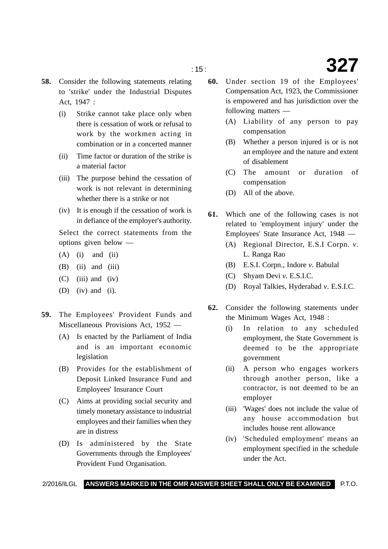- **58.** Consider the following statements relating to 'strike' under the Industrial Disputes Act, 1947 :
	- (i) Strike cannot take place only when there is cessation of work or refusal to work by the workmen acting in combination or in a concerted manner
	- (ii) Time factor or duration of the strike is a material factor
	- (iii) The purpose behind the cessation of work is not relevant in determining whether there is a strike or not
	- (iv) It is enough if the cessation of work is in defiance of the employer's authority.

Select the correct statements from the options given below —

- $(A)$  (i) and (ii)
- $(B)$  (ii) and (iii)
- $(C)$  (iii) and (iv)
- (D) (iv) and (i).
- **59.** The Employees' Provident Funds and Miscellaneous Provisions Act, 1952 —
	- (A) Is enacted by the Parliament of India and is an important economic legislation
	- (B) Provides for the establishment of Deposit Linked Insurance Fund and Employees' Insurance Court
	- (C) Aims at providing social security and timely monetary assistance to industrial employees and their families when they are in distress
	- (D) Is administered by the State Governments through the Employees' Provident Fund Organisation.
- **60.** Under section 19 of the Employees' Compensation Act, 1923, the Commissioner is empowered and has jurisdiction over the following matters —
	- (A) Liability of any person to pay compensation
	- (B) Whether a person injured is or is not an employee and the nature and extent of disablement
	- (C) The amount or duration of compensation
	- (D) All of the above.
- **61.** Which one of the following cases is not related to 'employment injury' under the Employees' State Insurance Act, 1948 —
	- (A) Regional Director, E.S.I Corpn. *v*. L. Ranga Rao
	- (B) E.S.I. Corpn., Indore *v*. Babulal
	- (C) Shyam Devi *v*. E.S.I.C.
	- (D) Royal Talkies, Hyderabad *v*. E.S.I.C.
- **62.** Consider the following statements under the Minimum Wages Act, 1948 :
	- (i) In relation to any scheduled employment, the State Government is deemed to be the appropriate government
	- (ii) A person who engages workers through another person, like a contractor, is not deemed to be an employer
	- (iii) 'Wages' does not include the value of any house accommodation but includes house rent allowance
	- (iv) 'Scheduled employment' means an employment specified in the schedule under the Act.

2/2016/ILGL **ANSWERS MARKED IN THE OMR ANSWER SHEET SHALL ONLY BE EXAMINED** P.T.O.

## : 15 : **327**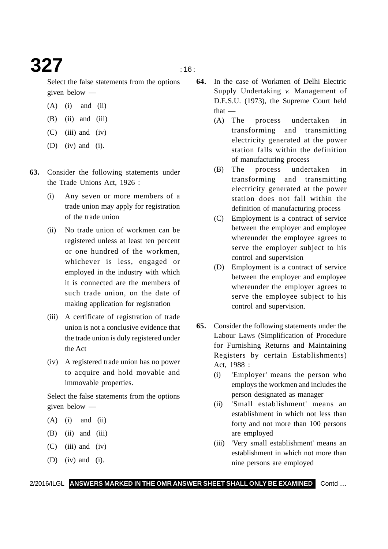## **327** in the set of  $\frac{16}{16}$

Select the false statements from the options given below —

- $(A)$  (i) and (ii)
- (B) (ii) and (iii)
- $(C)$  (iii) and (iv)
- (D) (iv) and (i).
- **63.** Consider the following statements under the Trade Unions Act, 1926 :
	- (i) Any seven or more members of a trade union may apply for registration of the trade union
	- (ii) No trade union of workmen can be registered unless at least ten percent or one hundred of the workmen, whichever is less, engaged or employed in the industry with which it is connected are the members of such trade union, on the date of making application for registration
	- (iii) A certificate of registration of trade union is not a conclusive evidence that the trade union is duly registered under the Act
	- (iv) A registered trade union has no power to acquire and hold movable and immovable properties.

Select the false statements from the options given below —

- $(A)$  (i) and (ii)
- $(B)$  (ii) and (iii)
- $(C)$  (iii) and (iv)
- (D) (iv) and (i).
- **64.** In the case of Workmen of Delhi Electric Supply Undertaking *v.* Management of D.E.S.U. (1973), the Supreme Court held that —
	- (A) The process undertaken in transforming and transmitting electricity generated at the power station falls within the definition of manufacturing process
	- (B) The process undertaken in transforming and transmitting electricity generated at the power station does not fall within the definition of manufacturing process
	- (C) Employment is a contract of service between the employer and employee whereunder the employee agrees to serve the employer subject to his control and supervision
	- (D) Employment is a contract of service between the employer and employee whereunder the employer agrees to serve the employee subject to his control and supervision.
- **65.** Consider the following statements under the Labour Laws (Simplification of Procedure for Furnishing Returns and Maintaining Registers by certain Establishments) Act, 1988 :
	- (i) 'Employer' means the person who employs the workmen and includes the person designated as manager
	- (ii) 'Small establishment' means an establishment in which not less than forty and not more than 100 persons are employed
	- (iii) 'Very small establishment' means an establishment in which not more than nine persons are employed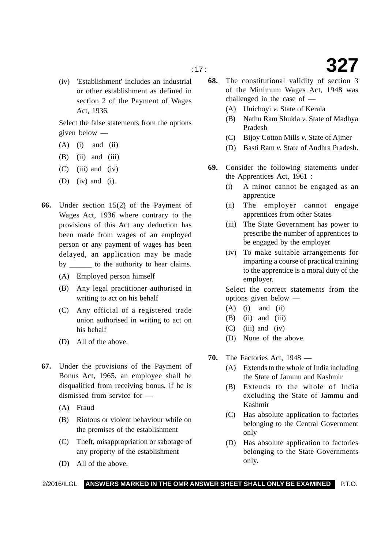(iv) 'Establishment' includes an industrial or other establishment as defined in section 2 of the Payment of Wages Act, 1936.

Select the false statements from the options given below —

- $(A)$  (i) and (ii)
- $(B)$  (ii) and (iii)
- $(C)$  (iii) and (iv)
- (D) (iv) and (i).
- **66.** Under section 15(2) of the Payment of Wages Act, 1936 where contrary to the provisions of this Act any deduction has been made from wages of an employed person or any payment of wages has been delayed, an application may be made by \_\_\_\_\_\_\_\_ to the authority to hear claims.
	- (A) Employed person himself
	- (B) Any legal practitioner authorised in writing to act on his behalf
	- (C) Any official of a registered trade union authorised in writing to act on his behalf
	- (D) All of the above.
- **67.** Under the provisions of the Payment of Bonus Act, 1965, an employee shall be disqualified from receiving bonus, if he is dismissed from service for —
	- (A) Fraud
	- (B) Riotous or violent behaviour while on the premises of the establishment
	- (C) Theft, misappropriation or sabotage of any property of the establishment
	- (D) All of the above.
- **68.** The constitutional validity of section 3 of the Minimum Wages Act, 1948 was challenged in the case of —
	- (A) Unichoyi *v*. State of Kerala
	- (B) Nathu Ram Shukla *v*. State of Madhya Pradesh
	- (C) Bijoy Cotton Mills *v*. State of Ajmer
	- (D) Basti Ram *v*. State of Andhra Pradesh.
- **69.** Consider the following statements under the Apprentices Act, 1961 :
	- (i) A minor cannot be engaged as an apprentice
	- (ii) The employer cannot engage apprentices from other States
	- (iii) The State Government has power to prescribe the number of apprentices to be engaged by the employer
	- (iv) To make suitable arrangements for imparting a course of practical training to the apprentice is a moral duty of the employer.

Select the correct statements from the options given below —

- $(A)$  (i) and (ii)
- $(B)$  (ii) and (iii)
- $(C)$  (iii) and (iv)
- (D) None of the above.
- **70.** The Factories Act, 1948
	- (A) Extends to the whole of India including the State of Jammu and Kashmir
	- (B) Extends to the whole of India excluding the State of Jammu and Kashmir
	- (C) Has absolute application to factories belonging to the Central Government only
	- (D) Has absolute application to factories belonging to the State Governments only.

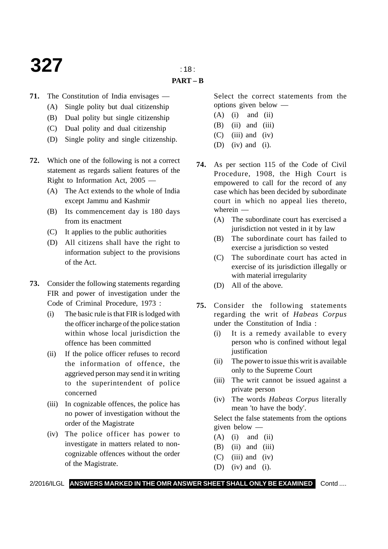## **327** is the set of  $\frac{1}{18}$

## **PART – B**

- **71.** The Constitution of India envisages
	- (A) Single polity but dual citizenship
	- (B) Dual polity but single citizenship
	- (C) Dual polity and dual citizenship
	- (D) Single polity and single citizenship.
- **72.** Which one of the following is not a correct statement as regards salient features of the Right to Information Act, 2005 —
	- (A) The Act extends to the whole of India except Jammu and Kashmir
	- (B) Its commencement day is 180 days from its enactment
	- (C) It applies to the public authorities
	- (D) All citizens shall have the right to information subject to the provisions of the Act.
- **73.** Consider the following statements regarding FIR and power of investigation under the Code of Criminal Procedure, 1973 :
	- (i) The basic rule is that FIR is lodged with the officer incharge of the police station within whose local jurisdiction the offence has been committed
	- (ii) If the police officer refuses to record the information of offence, the aggrieved person may send it in writing to the superintendent of police concerned
	- (iii) In cognizable offences, the police has no power of investigation without the order of the Magistrate
	- (iv) The police officer has power to investigate in matters related to noncognizable offences without the order of the Magistrate.

Select the correct statements from the options given below —

- $(A)$  (i) and (ii)
- $(B)$  (ii) and (iii)
- $(C)$  (iii) and (iv)
- (D) (iv) and (i).
- **74.** As per section 115 of the Code of Civil Procedure, 1908, the High Court is empowered to call for the record of any case which has been decided by subordinate court in which no appeal lies thereto, wherein —
	- (A) The subordinate court has exercised a jurisdiction not vested in it by law
	- (B) The subordinate court has failed to exercise a jurisdiction so vested
	- (C) The subordinate court has acted in exercise of its jurisdiction illegally or with material irregularity
	- (D) All of the above.
- **75.** Consider the following statements regarding the writ of *Habeas Corpus* under the Constitution of India :
	- (i) It is a remedy available to every person who is confined without legal justification
	- (ii) The power to issue this writ is available only to the Supreme Court
	- (iii) The writ cannot be issued against a private person
	- (iv) The words *Habeas Corpus* literally mean 'to have the body'.

Select the false statements from the options given below —

- $(A)$  (i) and (ii)
- $(B)$  (ii) and (iii)
- $(C)$  (iii) and (iv)
- (D) (iv) and (i).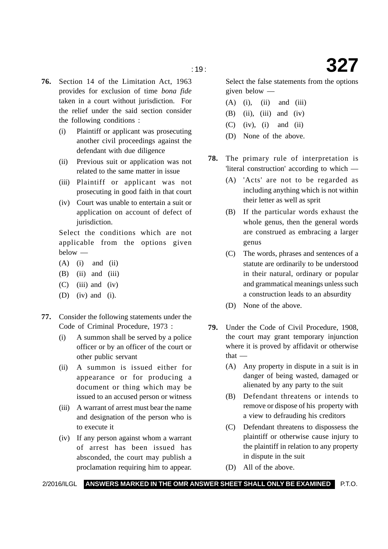- **76.** Section 14 of the Limitation Act, 1963 provides for exclusion of time *bona fide* taken in a court without jurisdiction. For the relief under the said section consider the following conditions :
	- (i) Plaintiff or applicant was prosecuting another civil proceedings against the defendant with due diligence
	- (ii) Previous suit or application was not related to the same matter in issue
	- (iii) Plaintiff or applicant was not prosecuting in good faith in that court
	- (iv) Court was unable to entertain a suit or application on account of defect of jurisdiction.

Select the conditions which are not applicable from the options given below —

- $(A)$  (i) and (ii)
- $(B)$  (ii) and (iii)
- $(C)$  (iii) and (iv)
- (D) (iv) and (i).
- **77.** Consider the following statements under the Code of Criminal Procedure, 1973 :
	- (i) A summon shall be served by a police officer or by an officer of the court or other public servant
	- (ii) A summon is issued either for appearance or for producing a document or thing which may be issued to an accused person or witness
	- (iii) A warrant of arrest must bear the name and designation of the person who is to execute it
	- (iv) If any person against whom a warrant of arrest has been issued has absconded, the court may publish a proclamation requiring him to appear.

Select the false statements from the options given below —

- $(A)$  (i), (ii) and (iii)
- $(B)$  (ii), (iii) and (iv)
- $(C)$  (iv), (i) and (ii)
- (D) None of the above.
- **78.** The primary rule of interpretation is 'literal construction' according to which —
	- (A) 'Acts' are not to be regarded as including anything which is not within their letter as well as sprit
	- (B) If the particular words exhaust the whole genus, then the general words are construed as embracing a larger genus
	- (C) The words, phrases and sentences of a statute are ordinarily to be understood in their natural, ordinary or popular and grammatical meanings unless such a construction leads to an absurdity
	- (D) None of the above.
- **79.** Under the Code of Civil Procedure, 1908, the court may grant temporary injunction where it is proved by affidavit or otherwise that —
	- (A) Any property in dispute in a suit is in danger of being wasted, damaged or alienated by any party to the suit
	- (B) Defendant threatens or intends to remove or dispose of his property with a view to defrauding his creditors
	- (C) Defendant threatens to dispossess the plaintiff or otherwise cause injury to the plaintiff in relation to any property in dispute in the suit
	- (D) All of the above.

### 2/2016/ILGL **ANSWERS MARKED IN THE OMR ANSWER SHEET SHALL ONLY BE EXAMINED** P.T.O.

: 19 : **327**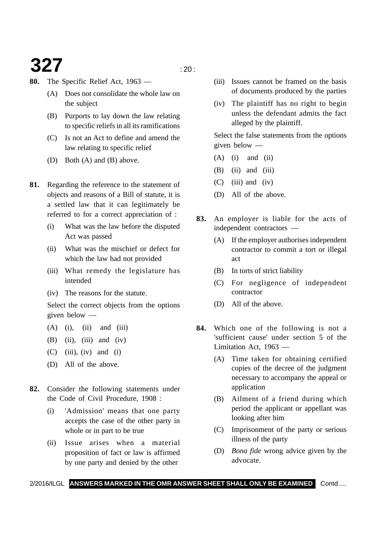## **327**  $\frac{1}{20}$

- 
- **80.** The Specific Relief Act, 1963
	- (A) Does not consolidate the whole law on the subject
	- (B) Purports to lay down the law relating to specific reliefs in all its ramifications
	- (C) Is not an Act to define and amend the law relating to specific relief
	- (D) Both (A) and (B) above.
- **81.** Regarding the reference to the statement of objects and reasons of a Bill of statute, it is a settled law that it can legitimately be referred to for a correct appreciation of :
	- (i) What was the law before the disputed Act was passed
	- (ii) What was the mischief or defect for which the law had not provided
	- (iii) What remedy the legislature has intended
	- (iv) The reasons for the statute.

Select the correct objects from the options given below —

- $(A)$  (i), (ii) and (iii)
- $(B)$  (ii), (iii) and (iv)
- $(C)$  (iii), (iv) and (i)
- (D) All of the above.
- **82.** Consider the following statements under the Code of Civil Procedure, 1908 :
	- (i) 'Admission' means that one party accepts the case of the other party in whole or in part to be true
	- (ii) Issue arises when a material proposition of fact or law is affirmed by one party and denied by the other
- (iii) Issues cannot be framed on the basis of documents produced by the parties
- (iv) The plaintiff has no right to begin unless the defendant admits the fact alleged by the plaintiff.

Select the false statements from the options given below —

- $(A)$  (i) and (ii)
- $(B)$  (ii) and (iii)
- $(C)$  (iii) and (iv)
- (D) All of the above.
- **83.** An employer is liable for the acts of independent contractors —
	- (A) If the employer authorises independent contractor to commit a tort or illegal act
	- (B) In torts of strict liability
	- (C) For negligence of independent contractor
	- (D) All of the above.
- **84.** Which one of the following is not a 'sufficient cause' under section 5 of the Limitation Act, 1963 —
	- (A) Time taken for obtaining certified copies of the decree of the judgment necessary to accompany the appeal or application
	- (B) Ailment of a friend during which period the applicant or appellant was looking after him
	- (C) Imprisonment of the party or serious illness of the party
	- (D) *Bona fide* wrong advice given by the advocate.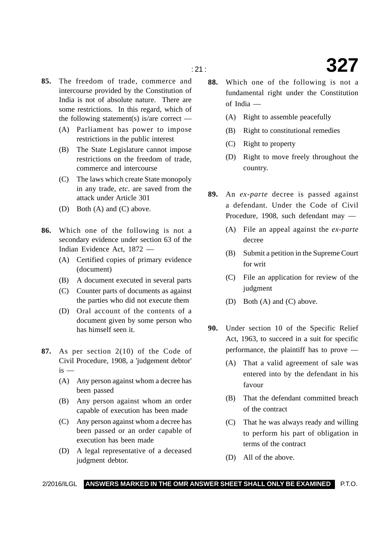- **85.** The freedom of trade, commerce and intercourse provided by the Constitution of India is not of absolute nature. There are some restrictions. In this regard, which of the following statement(s) is/are correct —
	- (A) Parliament has power to impose restrictions in the public interest
	- (B) The State Legislature cannot impose restrictions on the freedom of trade, commerce and intercourse
	- (C) The laws which create State monopoly in any trade, *etc*. are saved from the attack under Article 301
	- (D) Both (A) and (C) above.
- **86.** Which one of the following is not a secondary evidence under section 63 of the Indian Evidence Act, 1872 —
	- (A) Certified copies of primary evidence (document)
	- (B) A document executed in several parts
	- (C) Counter parts of documents as against the parties who did not execute them
	- (D) Oral account of the contents of a document given by some person who has himself seen it.
- **87.** As per section 2(10) of the Code of Civil Procedure, 1908, a 'judgement debtor'  $i<sub>s</sub>$  —
	- (A) Any person against whom a decree has been passed
	- (B) Any person against whom an order capable of execution has been made
	- (C) Any person against whom a decree has been passed or an order capable of execution has been made
	- (D) A legal representative of a deceased judgment debtor.
- **88.** Which one of the following is not a fundamental right under the Constitution of India —
	- (A) Right to assemble peacefully
	- (B) Right to constitutional remedies
	- (C) Right to property
	- (D) Right to move freely throughout the country.
- **89.** An *ex-parte* decree is passed against a defendant. Under the Code of Civil Procedure, 1908, such defendant may —
	- (A) File an appeal against the *ex-parte* decree
	- (B) Submit a petition in the Supreme Court for writ
	- (C) File an application for review of the judgment
	- (D) Both (A) and (C) above.
- **90.** Under section 10 of the Specific Relief Act, 1963, to succeed in a suit for specific performance, the plaintiff has to prove —
	- (A) That a valid agreement of sale was entered into by the defendant in his favour
	- (B) That the defendant committed breach of the contract
	- (C) That he was always ready and willing to perform his part of obligation in terms of the contract
	- (D) All of the above.

## 2/2016/ILGL **ANSWERS MARKED IN THE OMR ANSWER SHEET SHALL ONLY BE EXAMINED** P.T.O.

## : 21 : **327**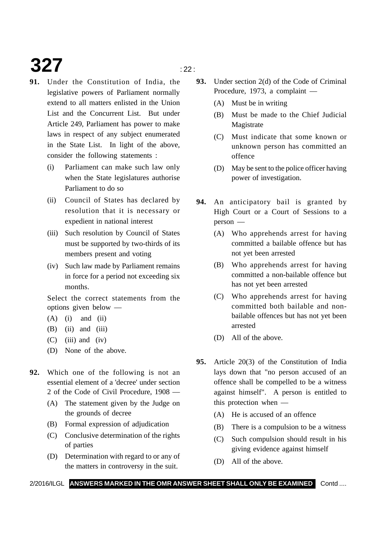# **327**  $\frac{1}{22}$

- **91.** Under the Constitution of India, the legislative powers of Parliament normally extend to all matters enlisted in the Union List and the Concurrent List. But under Article 249, Parliament has power to make laws in respect of any subject enumerated in the State List. In light of the above, consider the following statements :
	- (i) Parliament can make such law only when the State legislatures authorise Parliament to do so
	- (ii) Council of States has declared by resolution that it is necessary or expedient in national interest
	- (iii) Such resolution by Council of States must be supported by two-thirds of its members present and voting
	- (iv) Such law made by Parliament remains in force for a period not exceeding six months.

Select the correct statements from the options given below —

- $(A)$  (i) and (ii)
- $(B)$  (ii) and (iii)
- $(C)$  (iii) and (iv)
- (D) None of the above.
- **92.** Which one of the following is not an essential element of a 'decree' under section 2 of the Code of Civil Procedure, 1908 —
	- (A) The statement given by the Judge on the grounds of decree
	- (B) Formal expression of adjudication
	- (C) Conclusive determination of the rights of parties
	- (D) Determination with regard to or any of the matters in controversy in the suit.
- **93.** Under section 2(d) of the Code of Criminal Procedure, 1973, a complaint —
	- (A) Must be in writing
	- (B) Must be made to the Chief Judicial Magistrate
	- (C) Must indicate that some known or unknown person has committed an offence
	- (D) May be sent to the police officer having power of investigation.
- **94.** An anticipatory bail is granted by High Court or a Court of Sessions to a person —
	- (A) Who apprehends arrest for having committed a bailable offence but has not yet been arrested
	- (B) Who apprehends arrest for having committed a non-bailable offence but has not yet been arrested
	- (C) Who apprehends arrest for having committed both bailable and nonbailable offences but has not yet been arrested
	- (D) All of the above.
- **95.** Article 20(3) of the Constitution of India lays down that "no person accused of an offence shall be compelled to be a witness against himself". A person is entitled to this protection when —
	- (A) He is accused of an offence
	- (B) There is a compulsion to be a witness
	- (C) Such compulsion should result in his giving evidence against himself
	- (D) All of the above.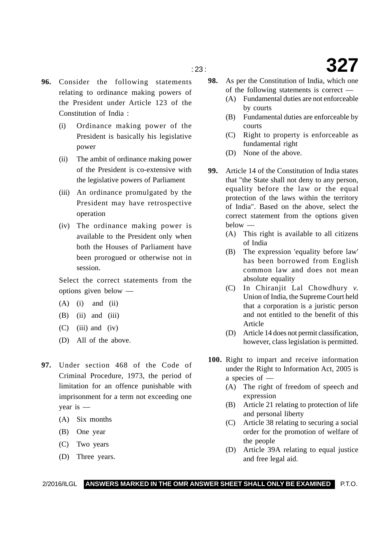- **96.** Consider the following statements relating to ordinance making powers of the President under Article 123 of the Constitution of India :
	- (i) Ordinance making power of the President is basically his legislative power
	- (ii) The ambit of ordinance making power of the President is co-extensive with the legislative powers of Parliament
	- (iii) An ordinance promulgated by the President may have retrospective operation
	- (iv) The ordinance making power is available to the President only when both the Houses of Parliament have been prorogued or otherwise not in session.

Select the correct statements from the options given below —

- $(A)$  (i) and (ii)
- $(B)$  (ii) and (iii)
- $(C)$  (iii) and (iv)
- (D) All of the above.
- **97.** Under section 468 of the Code of Criminal Procedure, 1973, the period of limitation for an offence punishable with imprisonment for a term not exceeding one year is —
	- (A) Six months
	- (B) One year
	- (C) Two years
	- (D) Three years.
- **98.** As per the Constitution of India, which one of the following statements is correct —
	- (A) Fundamental duties are not enforceable by courts
	- (B) Fundamental duties are enforceable by courts
	- (C) Right to property is enforceable as fundamental right
	- (D) None of the above.
- **99.** Article 14 of the Constitution of India states that "the State shall not deny to any person, equality before the law or the equal protection of the laws within the territory of India". Based on the above, select the correct statement from the options given below —
	- (A) This right is available to all citizens of India
	- (B) The expression 'equality before law' has been borrowed from English common law and does not mean absolute equality
	- (C) In Chiranjit Lal Chowdhury *v.* Union of India, the Supreme Court held that a corporation is a juristic person and not entitled to the benefit of this Article
	- (D) Article 14 does not permit classification, however, class legislation is permitted.
- **100.** Right to impart and receive information under the Right to Information Act, 2005 is a species of —
	- (A) The right of freedom of speech and expression
	- (B) Article 21 relating to protection of life and personal liberty
	- (C) Article 38 relating to securing a social order for the promotion of welfare of the people
	- (D) Article 39A relating to equal justice and free legal aid.